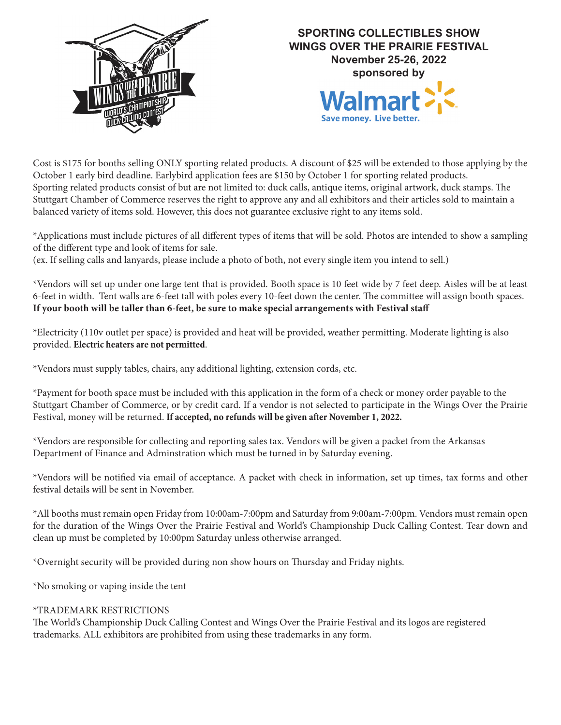



Cost is \$175 for booths selling ONLY sporting related products. A discount of \$25 will be extended to those applying by the October 1 early bird deadline. Earlybird application fees are \$150 by October 1 for sporting related products. Sporting related products consist of but are not limited to: duck calls, antique items, original artwork, duck stamps. The Stuttgart Chamber of Commerce reserves the right to approve any and all exhibitors and their articles sold to maintain a balanced variety of items sold. However, this does not guarantee exclusive right to any items sold.

\*Applications must include pictures of all different types of items that will be sold. Photos are intended to show a sampling of the different type and look of items for sale.

(ex. If selling calls and lanyards, please include a photo of both, not every single item you intend to sell.)

\*Vendors will set up under one large tent that is provided. Booth space is 10 feet wide by 7 feet deep. Aisles will be at least 6-feet in width. Tent walls are 6-feet tall with poles every 10-feet down the center. The committee will assign booth spaces. **If your booth will be taller than 6-feet, be sure to make special arrangements with Festival staff**

\*Electricity (110v outlet per space) is provided and heat will be provided, weather permitting. Moderate lighting is also provided. **Electric heaters are not permitted**.

\*Vendors must supply tables, chairs, any additional lighting, extension cords, etc.

\*Payment for booth space must be included with this application in the form of a check or money order payable to the Stuttgart Chamber of Commerce, or by credit card. If a vendor is not selected to participate in the Wings Over the Prairie Festival, money will be returned. **If accepted, no refunds will be given after November 1, 2022.**

\*Vendors are responsible for collecting and reporting sales tax. Vendors will be given a packet from the Arkansas Department of Finance and Adminstration which must be turned in by Saturday evening.

\*Vendors will be notified via email of acceptance. A packet with check in information, set up times, tax forms and other festival details will be sent in November.

\*All booths must remain open Friday from 10:00am-7:00pm and Saturday from 9:00am-7:00pm. Vendors must remain open for the duration of the Wings Over the Prairie Festival and World's Championship Duck Calling Contest. Tear down and clean up must be completed by 10:00pm Saturday unless otherwise arranged.

\*Overnight security will be provided during non show hours on Thursday and Friday nights.

\*No smoking or vaping inside the tent

## \*TRADEMARK RESTRICTIONS

The World's Championship Duck Calling Contest and Wings Over the Prairie Festival and its logos are registered trademarks. ALL exhibitors are prohibited from using these trademarks in any form.